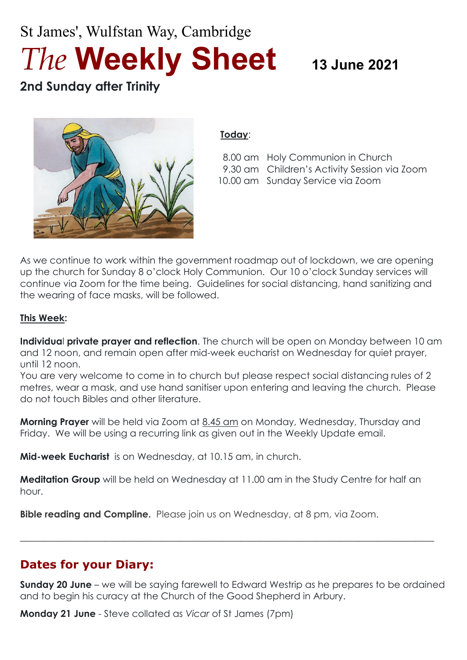# St James', Wulfstan Way, Cambridge *The* **Weekly Sheet <sup>13</sup> June <sup>2021</sup>**

# **2nd Sunday after Trinity**



#### **Today**:

 8.00 am Holy Communion in Church 9.30 am Children's Activity Session via Zoom 10.00 am Sunday Service via Zoom

As we continue to work within the government roadmap out of lockdown, we are opening up the church for Sunday 8 o'clock Holy Communion. Our 10 o'clock Sunday services will continue via Zoom for the time being. Guidelines for social distancing, hand sanitizing and the wearing of face masks, will be followed.

#### **This Week:**

**Individua**l **private prayer and reflection**. The church will be open on Monday between 10 am and 12 noon, and remain open after mid-week eucharist on Wednesday for quiet prayer, until 12 noon.

You are very welcome to come in to church but please respect social distancing rules of 2 metres, wear a mask, and use hand sanitiser upon entering and leaving the church. Please do not touch Bibles and other literature.

**Morning Prayer** will be held via Zoom at 8.45 am on Monday, Wednesday, Thursday and Friday. We will be using a recurring link as given out in the Weekly Update email.

**Mid-week Eucharist** is on Wednesday, at 10.15 am, in church.

**Meditation Group** will be held on Wednesday at 11.00 am in the Study Centre for half an hour.

 $\_$  , and the set of the set of the set of the set of the set of the set of the set of the set of the set of the set of the set of the set of the set of the set of the set of the set of the set of the set of the set of th

**Bible reading and Compline.** Please join us on Wednesday, at 8 pm, via Zoom.

# **Dates for your Diary:**

**Sunday 20 June** – we will be saying farewell to Edward Westrip as he prepares to be ordained and to begin his curacy at the Church of the Good Shepherd in Arbury.

**Monday 21 June** - Steve collated as *Vicar* of St James (7pm)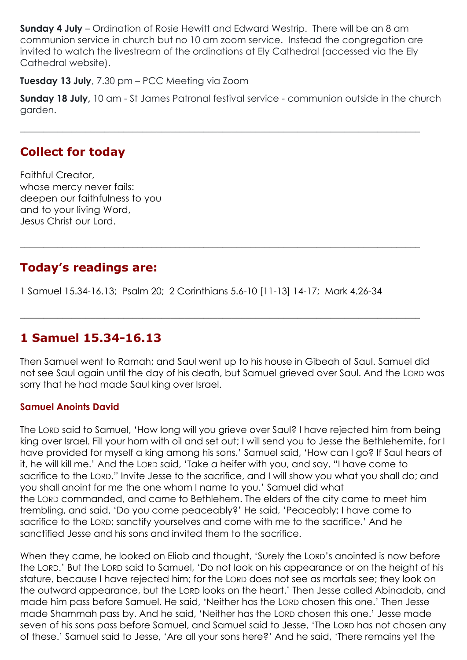**Sunday 4 July** – Ordination of Rosie Hewitt and Edward Westrip. There will be an 8 am communion service in church but no 10 am zoom service. Instead the congregation are invited to watch the livestream of the ordinations at Ely Cathedral (accessed via the Ely Cathedral website).

**Tuesday 13 July**, 7.30 pm – PCC Meeting via Zoom

**Sunday 18 July,** 10 am - St James Patronal festival service - communion outside in the church garden.

 $\_$  , and the set of the set of the set of the set of the set of the set of the set of the set of the set of the set of the set of the set of the set of the set of the set of the set of the set of the set of the set of th

**\_\_\_\_\_\_\_\_\_\_\_\_\_\_\_\_\_\_\_\_\_\_\_\_\_\_\_\_\_\_\_\_\_\_\_\_\_\_\_\_\_\_\_\_\_\_\_\_\_\_\_\_\_\_\_\_\_\_\_\_\_\_\_\_\_\_\_\_\_\_\_\_\_\_\_\_\_\_\_\_\_\_\_\_\_**

 $\_$  , and the set of the set of the set of the set of the set of the set of the set of the set of the set of the set of the set of the set of the set of the set of the set of the set of the set of the set of the set of th

#### **Collect for today**

Faithful Creator, whose mercy never fails: deepen our faithfulness to you and to your living Word, Jesus Christ our Lord.

## **Today's readings are:**

1 Samuel 15.34-16.13; Psalm 20; 2 Corinthians 5.6-10 [11-13] 14-17; Mark 4.26-34

## **1 Samuel 15.34-16.13**

Then Samuel went to Ramah; and Saul went up to his house in Gibeah of Saul. Samuel did not see Saul again until the day of his death, but Samuel grieved over Saul. And the LORD was sorry that he had made Saul king over Israel.

#### **Samuel Anoints David**

The LORD said to Samuel, 'How long will you grieve over Saul? I have rejected him from being king over Israel. Fill your horn with oil and set out; I will send you to Jesse the Bethlehemite, for I have provided for myself a king among his sons.' Samuel said, 'How can I go? If Saul hears of it, he will kill me.' And the LORD said, 'Take a heifer with you, and say, "I have come to sacrifice to the LORD." Invite Jesse to the sacrifice, and I will show you what you shall do; and you shall anoint for me the one whom I name to you.' Samuel did what the LORD commanded, and came to Bethlehem. The elders of the city came to meet him trembling, and said, 'Do you come peaceably?' He said, 'Peaceably; I have come to sacrifice to the LORD; sanctify yourselves and come with me to the sacrifice.' And he sanctified Jesse and his sons and invited them to the sacrifice.

When they came, he looked on Eliab and thought, 'Surely the LORD's anointed is now before the LORD.' But the LORD said to Samuel, 'Do not look on his appearance or on the height of his stature, because I have rejected him; for the LORD does not see as mortals see; they look on the outward appearance, but the LORD looks on the heart.' Then Jesse called Abinadab, and made him pass before Samuel. He said, 'Neither has the LORD chosen this one.' Then Jesse made Shammah pass by. And he said, 'Neither has the LORD chosen this one.' Jesse made seven of his sons pass before Samuel, and Samuel said to Jesse, 'The LORD has not chosen any of these.' Samuel said to Jesse, 'Are all your sons here?' And he said, 'There remains yet the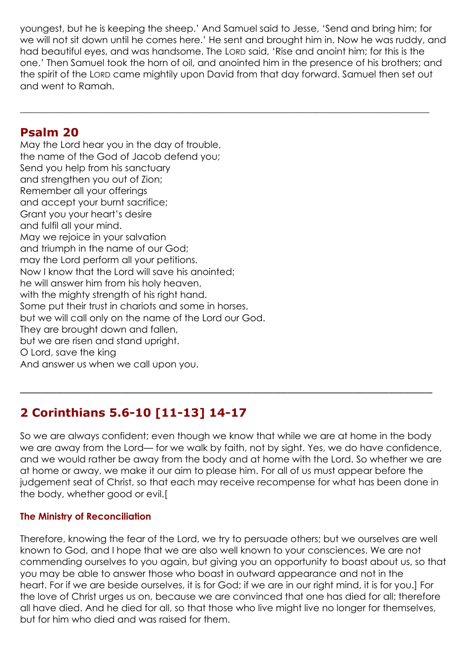youngest, but he is keeping the sheep.' And Samuel said to Jesse, 'Send and bring him; for we will not sit down until he comes here.' He sent and brought him in. Now he was ruddy, and had beautiful eyes, and was handsome. The LORD said, 'Rise and anoint him; for this is the one.' Then Samuel took the horn of oil, and anointed him in the presence of his brothers; and the spirit of the LORD came mightily upon David from that day forward. Samuel then set out and went to Ramah.

 $\_$  , and the set of the set of the set of the set of the set of the set of the set of the set of the set of the set of the set of the set of the set of the set of the set of the set of the set of the set of the set of th

## **Psalm 20**

May the Lord hear you in the day of trouble, the name of the God of Jacob defend you; Send you help from his sanctuary and strengthen you out of Zion; Remember all your offerings and accept your burnt sacrifice; Grant you your heart's desire and fulfil all your mind. May we rejoice in your salvation and triumph in the name of our God; may the Lord perform all your petitions. Now I know that the Lord will save his anointed; he will answer him from his holy heaven, with the mighty strength of his right hand. Some put their trust in chariots and some in horses, but we will call only on the name of the Lord our God. They are brought down and fallen, but we are risen and stand upright. O Lord, save the king And answer us when we call upon you.

# **2 Corinthians 5.6-10 [11-13] 14-17**

So we are always confident; even though we know that while we are at home in the body we are away from the Lord— for we walk by faith, not by sight. Yes, we do have confidence, and we would rather be away from the body and at home with the Lord. So whether we are at home or away, we make it our aim to please him. For all of us must appear before the judgement seat of Christ, so that each may receive recompense for what has been done in the body, whether good or evil.[

\_\_\_\_\_\_\_\_\_\_\_\_\_\_\_\_\_\_\_\_\_\_\_\_\_\_\_\_\_\_\_\_\_\_\_\_\_\_\_\_\_\_\_\_\_\_\_\_\_\_\_\_\_\_\_\_\_

#### **The Ministry of Reconciliation**

Therefore, knowing the fear of the Lord, we try to persuade others; but we ourselves are well known to God, and I hope that we are also well known to your consciences. We are not commending ourselves to you again, but giving you an opportunity to boast about us, so that you may be able to answer those who boast in outward appearance and not in the heart. For if we are beside ourselves, it is for God; if we are in our right mind, it is for you.] For the love of Christ urges us on, because we are convinced that one has died for all; therefore all have died. And he died for all, so that those who live might live no longer for themselves, but for him who died and was raised for them.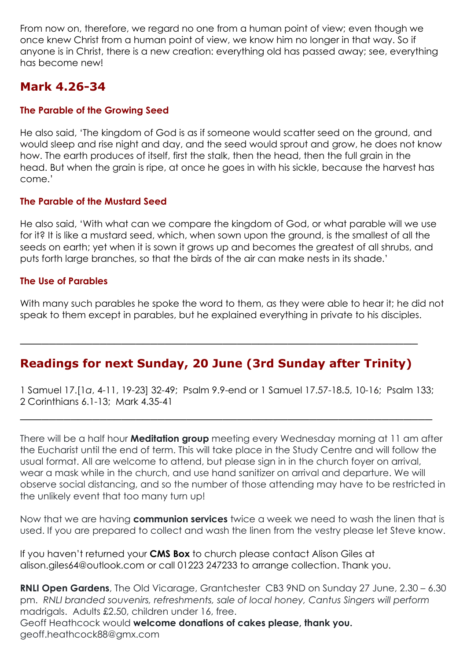From now on, therefore, we regard no one from a human point of view; even though we once knew Christ from a human point of view, we know him no longer in that way. So if anyone is in Christ, there is a new creation: everything old has passed away; see, everything has become new!

# **Mark 4.26-34**

#### **The Parable of the Growing Seed**

He also said, 'The kingdom of God is as if someone would scatter seed on the ground, and would sleep and rise night and day, and the seed would sprout and grow, he does not know how. The earth produces of itself, first the stalk, then the head, then the full grain in the head. But when the grain is ripe, at once he goes in with his sickle, because the harvest has come.'

#### **The Parable of the Mustard Seed**

He also said, 'With what can we compare the kingdom of God, or what parable will we use for it? It is like a mustard seed, which, when sown upon the ground, is the smallest of all the seeds on earth; yet when it is sown it grows up and becomes the greatest of all shrubs, and puts forth large branches, so that the birds of the air can make nests in its shade.'

#### **The Use of Parables**

With many such parables he spoke the word to them, as they were able to hear it; he did not speak to them except in parables, but he explained everything in private to his disciples.

## **Readings for next Sunday, 20 June (3rd Sunday after Trinity)**

\_\_\_\_\_\_\_\_\_\_\_\_\_\_\_\_\_\_\_\_\_\_\_\_\_\_\_\_\_\_\_\_\_\_\_\_\_\_\_\_\_\_\_\_\_\_\_\_\_\_\_\_\_\_\_

1 Samuel 17.[1*a*, 4-11, 19-23] 32-49; Psalm 9.9-end or 1 Samuel 17.57-18.5, 10-16; Psalm 133; 2 Corinthians 6.1-13; Mark 4.35-41

\_\_\_\_\_\_\_\_\_\_\_\_\_\_\_\_\_\_\_\_\_\_\_\_\_\_\_\_\_\_\_\_\_\_\_\_\_\_\_\_\_\_\_\_\_\_\_\_\_\_\_\_\_\_\_\_\_

There will be a half hour **Meditation group** meeting every Wednesday morning at 11 am after the Eucharist until the end of term. This will take place in the Study Centre and will follow the usual format. All are welcome to attend, but please sign in in the church foyer on arrival, wear a mask while in the church, and use hand sanitizer on arrival and departure. We will observe social distancing, and so the number of those attending may have to be restricted in the unlikely event that too many turn up!

Now that we are having **communion services** twice a week we need to wash the linen that is used. If you are prepared to collect and wash the linen from the vestry please let Steve know.

If you haven't returned your **CMS Box** to church please contact Alison Giles at alison.giles64@outlook.com or call 01223 247233 to arrange collection. Thank you.

**RNLI Open Gardens**, The Old Vicarage, Grantchester CB3 9ND on Sunday 27 June, 2.30 – 6.30 pm. *RNLI branded souvenirs, refreshments, sale of local honey, Cantus Singers will perform*  madrigals. Adults £2.50, children under 16, free.

Geoff Heathcock would **welcome donations of cakes please, thank you.** geoff.heathcock88@gmx.com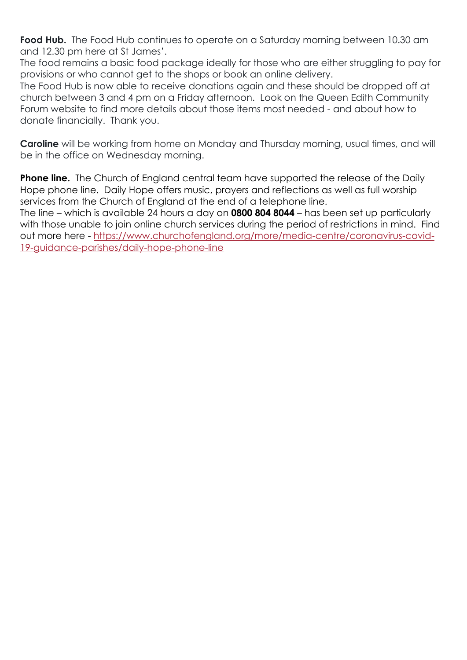**Food Hub.** The Food Hub continues to operate on a Saturday morning between 10.30 am and 12.30 pm here at St James'.

The food remains a basic food package ideally for those who are either struggling to pay for provisions or who cannot get to the shops or book an online delivery.

The Food Hub is now able to receive donations again and these should be dropped off at church between 3 and 4 pm on a Friday afternoon. Look on the Queen Edith Community Forum website to find more details about those items most needed - and about how to donate financially. Thank you.

**Caroline** will be working from home on Monday and Thursday morning, usual times, and will be in the office on Wednesday morning.

**Phone line.** The Church of England central team have supported the release of the Daily Hope phone line. Daily Hope offers music, prayers and reflections as well as full worship services from the Church of England at the end of a telephone line.

The line – which is available 24 hours a day on **0800 804 8044** – has been set up particularly with those unable to join online church services during the period of restrictions in mind. Find out more here - [https://www.churchofengland.org/more/media-centre/coronavirus-covid-](https://www.churchofengland.org/more/media-centre/coronavirus-covid-19-guidance-parishes/daily-hope-phone-line)[19-guidance-parishes/daily-hope-phone-line](https://www.churchofengland.org/more/media-centre/coronavirus-covid-19-guidance-parishes/daily-hope-phone-line)